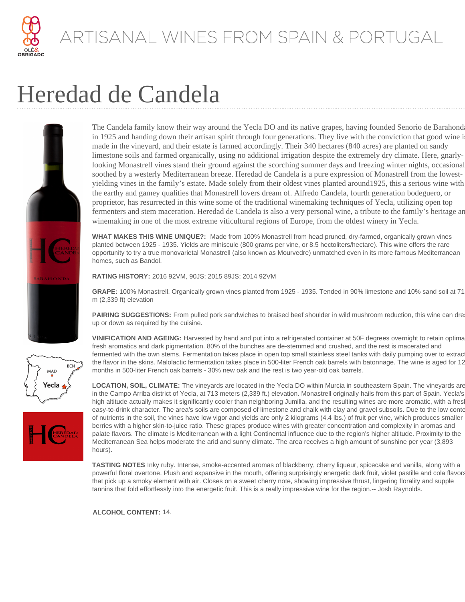

#### ARTISANAL WINES FROM SPAIN & PORTUGAL

# Heredad de Candela



**BCN** 

MAD Yecla The Candela family know their way around the Yecla DO and its native grapes, having founded Senorio de Barahond in 1925 and handing down their artisan spirit through four generations. They live with the conviction that good wine i made in the vineyard, and their estate is farmed accordingly. Their 340 hectares (840 acres) are planted on sandy limestone soils and farmed organically, using no additional irrigation despite the extremely dry climate. Here, gnarlylooking Monastrell vines stand their ground against the scorching summer days and freezing winter nights, occasional soothed by a westerly Mediterranean breeze. Heredad de Candela is a pure expression of Monastrell from the lowestyielding vines in the family's estate. Made solely from their oldest vines planted around1925, this a serious wine with the earthy and gamey qualities that Monastrell lovers dream of. Alfredo Candela, fourth generation bodeguero, or proprietor, has resurrected in this wine some of the traditional winemaking techniques of Yecla, utilizing open top fermenters and stem maceration. Heredad de Candela is also a very personal wine, a tribute to the family's heritage and winemaking in one of the most extreme viticultural regions of Europe, from the oldest winery in Yecla.

**WHAT MAKES THIS WINE UNIQUE?:** Made from 100% Monastrell from head pruned, dry-farmed, organically grown vines planted between 1925 - 1935. Yields are miniscule (800 grams per vine, or 8.5 hectoliters/hectare). This wine offers the rare opportunity to try a true monovarietal Monastrell (also known as Mourvedre) unmatched even in its more famous Mediterranean homes, such as Bandol.

**RATING HISTORY:** 2016 92VM, 90JS; 2015 89JS; 2014 92VM

**GRAPE:** 100% Monastrell. Organically grown vines planted from 1925 - 1935. Tended in 90% limestone and 10% sand soil at 713 m (2,339 ft) elevation

**PAIRING SUGGESTIONS:** From pulled pork sandwiches to braised beef shoulder in wild mushroom reduction, this wine can dre up or down as required by the cuisine.

**VINIFICATION AND AGEING:** Harvested by hand and put into a refrigerated container at 50F degrees overnight to retain optimally fresh aromatics and dark pigmentation. 80% of the bunches are de-stemmed and crushed, and the rest is macerated and fermented with the own stems. Fermentation takes place in open top small stainless steel tanks with daily pumping over to extrac the flavor in the skins. Malolactic fermentation takes place in 500-liter French oak barrels with batonnage. The wine is aged for 12 months in 500-liter French oak barrels - 30% new oak and the rest is two year-old oak barrels.

**LOCATION, SOIL, CLIMATE:** The vineyards are located in the Yecla DO within Murcia in southeastern Spain. The vineyards are in the Campo Arriba district of Yecla, at 713 meters (2,339 ft.) elevation. Monastrell originally hails from this part of Spain. Yecla's high altitude actually makes it significantly cooler than neighboring Jumilla, and the resulting wines are more aromatic, with a fres easy-to-drink character. The area's soils are composed of limestone and chalk with clay and gravel subsoils. Due to the low conte of nutrients in the soil, the vines have low vigor and yields are only 2 kilograms (4.4 lbs.) of fruit per vine, which produces smaller berries with a higher skin-to-juice ratio. These grapes produce wines with greater concentration and complexity in aromas and palate flavors. The climate is Mediterranean with a light Continental influence due to the region's higher altitude. Proximity to the Mediterranean Sea helps moderate the arid and sunny climate. The area receives a high amount of sunshine per year (3,893 hours).

**TASTING NOTES** Inky ruby. Intense, smoke-accented aromas of blackberry, cherry liqueur, spicecake and vanilla, along with a powerful floral overtone. Plush and expansive in the mouth, offering surprisingly energetic dark fruit, violet pastille and cola flavors that pick up a smoky element with air. Closes on a sweet cherry note, showing impressive thrust, lingering florality and supple tannins that fold effortlessly into the energetic fruit. This is a really impressive wine for the region.-- Josh Raynolds.

**ALCOHOL CONTENT:** 14.